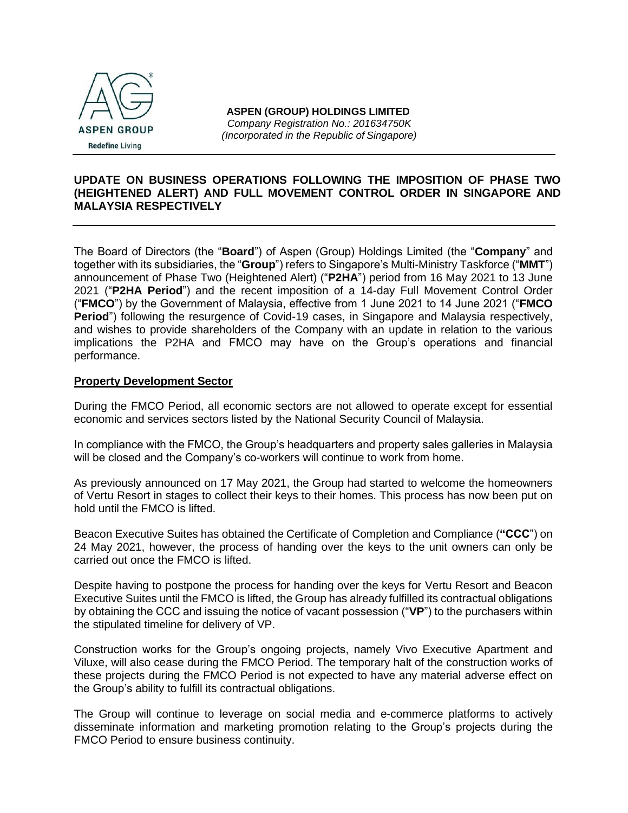

# **UPDATE ON BUSINESS OPERATIONS FOLLOWING THE IMPOSITION OF PHASE TWO (HEIGHTENED ALERT) AND FULL MOVEMENT CONTROL ORDER IN SINGAPORE AND MALAYSIA RESPECTIVELY**

The Board of Directors (the "**Board**") of Aspen (Group) Holdings Limited (the "**Company**" and together with its subsidiaries, the "**Group**") refers to Singapore's Multi-Ministry Taskforce ("**MMT**") announcement of Phase Two (Heightened Alert) ("**P2HA**") period from 16 May 2021 to 13 June 2021 ("**P2HA Period**") and the recent imposition of a 14-day Full Movement Control Order ("**FMCO**") by the Government of Malaysia, effective from 1 June 2021 to 14 June 2021 ("**FMCO Period**") following the resurgence of Covid-19 cases, in Singapore and Malaysia respectively, and wishes to provide shareholders of the Company with an update in relation to the various implications the P2HA and FMCO may have on the Group's operations and financial performance.

## **Property Development Sector**

During the FMCO Period, all economic sectors are not allowed to operate except for essential economic and services sectors listed by the National Security Council of Malaysia.

In compliance with the FMCO, the Group's headquarters and property sales galleries in Malaysia will be closed and the Company's co-workers will continue to work from home.

As previously announced on 17 May 2021, the Group had started to welcome the homeowners of Vertu Resort in stages to collect their keys to their homes. This process has now been put on hold until the FMCO is lifted.

Beacon Executive Suites has obtained the Certificate of Completion and Compliance (**"CCC**") on 24 May 2021, however, the process of handing over the keys to the unit owners can only be carried out once the FMCO is lifted.

Despite having to postpone the process for handing over the keys for Vertu Resort and Beacon Executive Suites until the FMCO is lifted, the Group has already fulfilled its contractual obligations by obtaining the CCC and issuing the notice of vacant possession ("**VP**") to the purchasers within the stipulated timeline for delivery of VP.

Construction works for the Group's ongoing projects, namely Vivo Executive Apartment and Viluxe, will also cease during the FMCO Period. The temporary halt of the construction works of these projects during the FMCO Period is not expected to have any material adverse effect on the Group's ability to fulfill its contractual obligations.

The Group will continue to leverage on social media and e-commerce platforms to actively disseminate information and marketing promotion relating to the Group's projects during the FMCO Period to ensure business continuity.